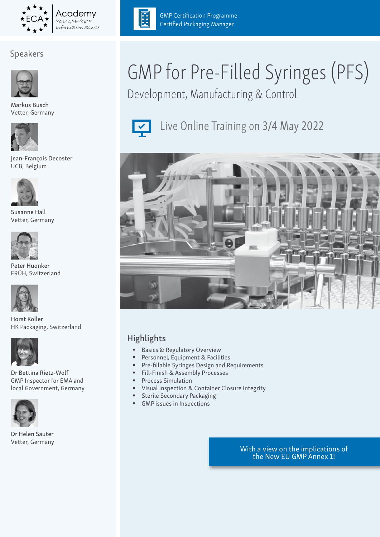

# Speakers



Markus Busch Vetter, Germany



Jean-François Decoster UCB, Belgium



Susanne Hall Vetter, Germany



Peter Huonker FRÜH, Switzerland



Horst Koller HK Packaging, Switzerland



Dr Bettina Rietz-Wolf GMP Inspector for EMA and local Government, Germany



Dr Helen Sauter Vetter, Germany



GMP Certification Programme Certified Packaging Manager

# GMP for Pre-Filled Syringes (PFS)

Development, Manufacturing & Control



Live Online Training on 3/4 May 2022



# Highlights

- **Basics & Regulatory Overview**
- Personnel, Equipment & Facilities
- Pre-fillable Syringes Design and Requirements
- Fill-Finish & Assembly Processes
- **Process Simulation**
- **Visual Inspection & Container Closure Integrity**
- **Sterile Secondary Packaging**
- GMP issues in Inspections

With a view on the implications of the New EU GMP Annex 1!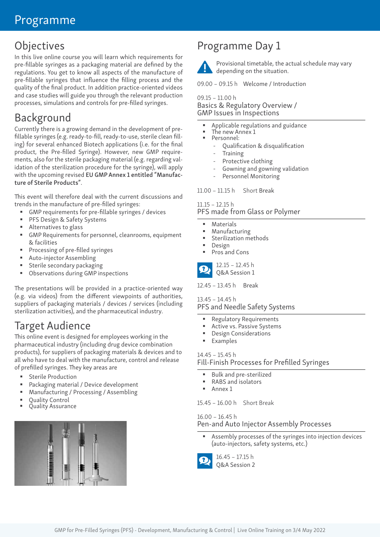# Programme

# **Objectives**

In this live online course you will learn which requirements for pre-fillable syringes as a packaging material are defined by the regulations. You get to know all aspects of the manufacture of pre-fillable syringes that influence the filling process and the quality of the final product. In addition practice-oriented videos and case studies will guide you through the relevant production processes, simulations and controls for pre-filled syringes.

# Background

Currently there is a growing demand in the development of prefillable syringes (e.g. ready-to-fill, ready-to-use, sterile clean filling) for several enhanced Biotech applications (i.e. for the final product, the Pre-filled Syringe). However, new GMP requirements, also for the sterile packaging material (e.g. regarding validation of the sterilization procedure for the syringe), will apply with the upcoming revised EU GMP Annex 1 entitled "Manufacture of Sterile Products".

This event will therefore deal with the current discussions and trends in the manufacture of pre-filled syringes:

- GMP requirements for pre-fillable syringes / devices
- PFS Design & Safety Systems
- **Alternatives to glass**
- GMP Requirements for personnel, cleanrooms, equipment & facilities
- **Processing of pre-filled syringes**
- Auto-injector Assembling
- **Sterile secondary packaging**
- Observations during GMP inspections

The presentations will be provided in a practice-oriented way (e.g. via videos) from the different viewpoints of authorities, suppliers of packaging materials / devices / services (including sterilization activities), and the pharmaceutical industry.

# Target Audience

This online event is designed for employees working in the pharmaceutical industry (including drug device combination products), for suppliers of packaging materials & devices and to all who have to deal with the manufacture, control and release of prefilled syringes. They key areas are

- **Sterile Production**
- **Packaging material / Device development**
- Manufacturing / Processing / Assembling
- 
- Quality Control Quality Assurance



# Programme Day 1



Provisional timetable, the actual schedule may vary depending on the situation.

09.00 – 09.15 h Welcome / Introduction

09.15 – 11.00 h Basics & Regulatory Overview / GMP Issues in Inspections

- Applicable regulations and guidance
- The new Annex 1 Personnel:
	- Qualification & disqualification
	- **Training**
	- Protective clothing
	- Gowning and gowning validation
	- Personnel Monitoring

11.00 – 11.15 h Short Break

# 11.15 – 12.15 h

PFS made from Glass or Polymer

- Materials
- Manufacturing
- Sterilization methods
- Design
- Pros and Cons



12.45 – 13.45 h Break

#### 13.45 – 14.45 h

PFS and Needle Safety Systems

- Regulatory Requirements
- Active vs. Passive Systems
- Design Considerations
- **Examples**

#### 14.45 – 15.45 h

Fill-Finish Processes for Prefilled Syringes

- Bulk and pre-sterilized
- RABS and isolators
- Annex 1

15.45 – 16.00 h Short Break

16.00 – 16.45 h Pen-and Auto Injector Assembly Processes

 Assembly processes of the syringes into injection devices (auto-injectors, safety systems, etc.)

16.45 – 17.15 h Q&A Session 2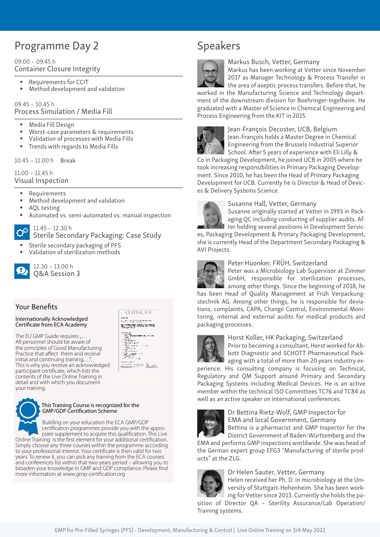# Programme Day 2

#### 09.00 – 09.45 h Container Closure Integrity

- Requirements for CCIT
- Method development and validation

#### 09.45 – 10.45 h Process Simulation / Media Fill

- Media Fill Design
- **Worst-case parameters & requirements**
- Validation of processes with Media Fills
- **Trends with regards to Media Fills**

10.45 – 11.00 h Break

11.00 – 11.45 h Visual Inspection

- Requirements
- Method development and validation
- AQL testing
- Automated vs. semi-automated vs. manual inspection



Sterile Secondary Packaging: Case Study

**CERTERCATE** arang.<br>Silah sahiji Serata Bahasara 

- Sterile secondary packaging of PFS
- Validation of sterilization methods



Q&A Session 3

### Your Benefits

#### Internationally Acknowledged Certificate from ECA Academy

The EU GMP Guide requires: $_{n}$ ... All personnel should be aware of the principles of Good Manufacturing Practice that affect them and receive initial and continuing training,... This is why you receive an acknowledged participant certificate, which lists the contents of the Live Online Training in detail and with which you document your training.



#### This Training Course is recognized for the GMP/GDP Certification Scheme

 Building on your education the ECA GMP/GDP certification programmes provide you with the appro piate supplement to acquire this qualification. This Live Online Training is the first element for your additional certification. Simply choose any three courses within the programme according to your professional interest. Your certificate is then valid for two years. To renew it, you can pick any training from the ECA courses and conferences list within that two-years period – allowing you to broaden your knowledge in GMP and GDP compliance. Please find more information at www.gmp-certification.org





#### Markus Busch, Vetter, Germany

Markus has been working at Vetter since November 2017 as Manager Technology & Process Transfer in

the area of aseptic process transfers. Before that, he worked in the Manufacturing Science and Technology department of the downstream division for Boehringer-Ingelheim. He graduated with a Master of Science in Chemical Engineering and Process Engineering from the KIT in 2015.



Jean-François Decoster, UCB, Belgium Jean-François holds a Master Degree in Chemical Engineering from the Brussels Industrial Superior

School. After 5 years of experience with Eli Lilly & Co in Packaging Development, he joined UCB in 2005 where he took increasing responsibilities in Primary Packaging Development. Since 2010, he has been the Head of Primary Packaging Development for UCB. Currently he is Director & Head of Devices & Delivery Systems Science.



#### Susanne Hall, Vetter, Germany

Susanne originally started at Vetter in 1993 in Packaging QC including conducting of supplier audits. After holding several positions in Development Servic-

es, Packaging Development & Primary Packaging Development, she is currently Head of the Department Secondary Packaging & AVI Projects.



#### Peter Huonker, FRÜH, Switzerland

Peter was a Microbiology Lab Supervisor at Zimmer GmbH, responsible for sterilization processes, among other things. Since the beginning of 2018, he

has been Head of Quality Management at Früh Verpackungstechnik AG. Among other things, he is responsible for deviations, complaints, CAPA, Change Control, Environmental Monitoring, internal and external audits for medical products and packaging processes.



#### Horst Koller, HK Packaging, Switzerland

Prior to becoming a consultant, Horst worked for Abbott Diagnostic and SCHOTT Pharmaceutical Packaging with a total of more than 20 years industry ex-

perience. His consulting company is focusing on Technical, Regulatory and QM Support around Primary and Secondary Packaging Systems including Medical Devices. He is an active member within the technical ISO Committees TC76 and TC84 as well as an active speaker on international conferences.



### Dr Bettina Rietz-Wolf, GMP Inspector for EMA and local Government, Germany

Bettina is a pharmacist and GMP Inspector for the District Government of Baden-Württemberg and the

EMA and performs GMP inspections worldwide. She was head of the German expert group EFG3 "Manufacturing of sterile products" at the ZLG.



Dr Helen Sauter, Vetter, Germany

Helen received her Ph. D. in microbiology at the University of Stuttgart-Hohenheim. She has been working for Vetter since 2013. Currently she holds the po-

sition of Director QA – Sterility Assurance/Lab Operation/ Training systems.